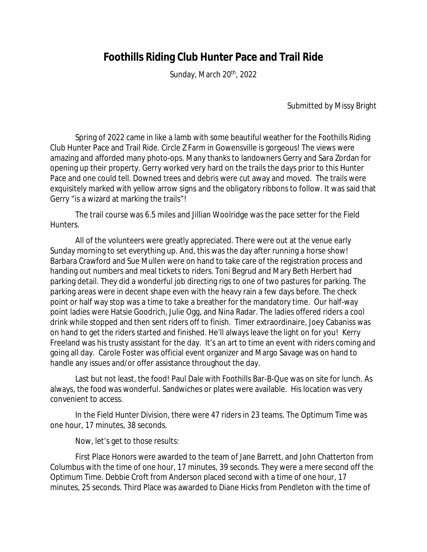## **Foothills Riding Club Hunter Pace and Trail Ride**

Sunday, March 20<sup>th</sup>, 2022

Submitted by Missy Bright

Spring of 2022 came in like a lamb with some beautiful weather for the Foothills Riding Club Hunter Pace and Trail Ride. Circle Z Farm in Gowensville is gorgeous! The views were amazing and afforded many photo-ops. Many thanks to landowners Gerry and Sara Zordan for opening up their property. Gerry worked very hard on the trails the days prior to this Hunter Pace and one could tell. Downed trees and debris were cut away and moved. The trails were exquisitely marked with yellow arrow signs and the obligatory ribbons to follow. It was said that Gerry "is a wizard at marking the trails"!

The trail course was 6.5 miles and Jillian Woolridge was the pace setter for the Field Hunters.

All of the volunteers were greatly appreciated. There were out at the venue early Sunday morning to set everything up. And, this was the day after running a horse show! Barbara Crawford and Sue Mullen were on hand to take care of the registration process and handing out numbers and meal tickets to riders. Toni Begrud and Mary Beth Herbert had parking detail. They did a wonderful job directing rigs to one of two pastures for parking. The parking areas were in decent shape even with the heavy rain a few days before. The check point or half way stop was a time to take a breather for the mandatory time. Our half-way point ladies were Hatsie Goodrich, Julie Ogg, and Nina Radar. The ladies offered riders a cool drink while stopped and then sent riders off to finish. Timer extraordinaire, Joey Cabaniss was on hand to get the riders started and finished. He'll always leave the light on for you! Kerry Freeland was his trusty assistant for the day. It's an art to time an event with riders coming and going all day. Carole Foster was official event organizer and Margo Savage was on hand to handle any issues and/or offer assistance throughout the day.

Last but not least, the food! Paul Dale with Foothills Bar-B-Que was on site for lunch. As always, the food was wonderful. Sandwiches or plates were available. His location was very convenient to access.

In the Field Hunter Division, there were 47 riders in 23 teams. The Optimum Time was one hour, 17 minutes, 38 seconds.

Now, let's get to those results:

First Place Honors were awarded to the team of Jane Barrett, and John Chatterton from Columbus with the time of one hour, 17 minutes, 39 seconds. They were a mere second off the Optimum Time. Debbie Croft from Anderson placed second with a time of one hour, 17 minutes, 25 seconds. Third Place was awarded to Diane Hicks from Pendleton with the time of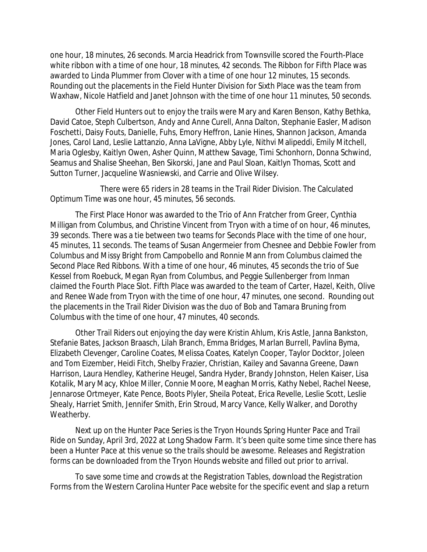one hour, 18 minutes, 26 seconds. Marcia Headrick from Townsville scored the Fourth-Place white ribbon with a time of one hour, 18 minutes, 42 seconds. The Ribbon for Fifth Place was awarded to Linda Plummer from Clover with a time of one hour 12 minutes, 15 seconds. Rounding out the placements in the Field Hunter Division for Sixth Place was the team from Waxhaw, Nicole Hatfield and Janet Johnson with the time of one hour 11 minutes, 50 seconds.

Other Field Hunters out to enjoy the trails were Mary and Karen Benson, Kathy Bethka, David Catoe, Steph Culbertson, Andy and Anne Curell, Anna Dalton, Stephanie Easler, Madison Foschetti, Daisy Fouts, Danielle, Fuhs, Emory Heffron, Lanie Hines, Shannon Jackson, Amanda Jones, Carol Land, Leslie Lattanzio, Anna LaVigne, Abby Lyle, Nithvi Malipeddi, Emily Mitchell, Maria Oglesby, Kaitlyn Owen, Asher Quinn, Matthew Savage, Timi Schonhorn, Donna Schwind, Seamus and Shalise Sheehan, Ben Sikorski, Jane and Paul Sloan, Kaitlyn Thomas, Scott and Sutton Turner, Jacqueline Wasniewski, and Carrie and Olive Wilsey.

There were 65 riders in 28 teams in the Trail Rider Division. The Calculated Optimum Time was one hour, 45 minutes, 56 seconds.

The First Place Honor was awarded to the Trio of Ann Fratcher from Greer, Cynthia Milligan from Columbus, and Christine Vincent from Tryon with a time of on hour, 46 minutes, 39 seconds. There was a tie between two teams for Seconds Place with the time of one hour, 45 minutes, 11 seconds. The teams of Susan Angermeier from Chesnee and Debbie Fowler from Columbus and Missy Bright from Campobello and Ronnie Mann from Columbus claimed the Second Place Red Ribbons. With a time of one hour, 46 minutes, 45 seconds the trio of Sue Kessel from Roebuck, Megan Ryan from Columbus, and Peggie Sullenberger from Inman claimed the Fourth Place Slot. Fifth Place was awarded to the team of Carter, Hazel, Keith, Olive and Renee Wade from Tryon with the time of one hour, 47 minutes, one second. Rounding out the placements in the Trail Rider Division was the duo of Bob and Tamara Bruning from Columbus with the time of one hour, 47 minutes, 40 seconds.

Other Trail Riders out enjoying the day were Kristin Ahlum, Kris Astle, Janna Bankston, Stefanie Bates, Jackson Braasch, Lilah Branch, Emma Bridges, Marlan Burrell, Pavlina Byma, Elizabeth Clevenger, Caroline Coates, Melissa Coates, Katelyn Cooper, Taylor Docktor, Joleen and Tom Eizember, Heidi Fitch, Shelby Frazier, Christian, Kailey and Savanna Greene, Dawn Harrison, Laura Hendley, Katherine Heugel, Sandra Hyder, Brandy Johnston, Helen Kaiser, Lisa Kotalik, Mary Macy, Khloe Miller, Connie Moore, Meaghan Morris, Kathy Nebel, Rachel Neese, Jennarose Ortmeyer, Kate Pence, Boots Plyler, Sheila Poteat, Erica Revelle, Leslie Scott, Leslie Shealy, Harriet Smith, Jennifer Smith, Erin Stroud, Marcy Vance, Kelly Walker, and Dorothy Weatherby.

Next up on the Hunter Pace Series is the Tryon Hounds Spring Hunter Pace and Trail Ride on Sunday, April 3rd, 2022 at Long Shadow Farm. It's been quite some time since there has been a Hunter Pace at this venue so the trails should be awesome. Releases and Registration forms can be downloaded from the Tryon Hounds website and filled out prior to arrival.

To save some time and crowds at the Registration Tables, download the Registration Forms from the Western Carolina Hunter Pace website for the specific event and slap a return